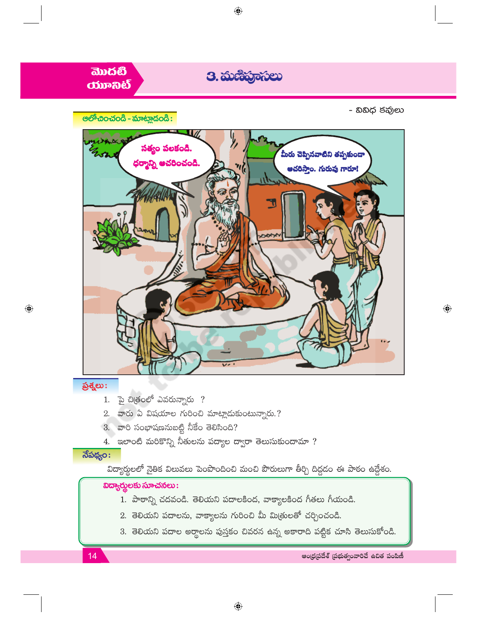

- $1.$  බై చిత్రంలో ఎవరున్నారు ?
- $2.$  వారు ఏ విషయాల గురించి మాట్లాడుకుంటున్నారు.?
- $3.$  వారి సంభాషణనుబట్టి నీకేం తెలిసింది?
- 4. ఇలాంటి మరికొన్ని నీతులను పద్యాల ద్వారా తెలుసుకుందామా ?

# $\overline{\text{R}}$ పథ్యం:

 $14$ 

విద్యార్థులలో నైతిక విలువలు పెంపొందించి మంచి పౌరులుగా తీర్చి దిద్దడం ఈ పాఠం ఉద్దేశం.

### విద్యార్శలకు సూచనలు:

- 1. పాఠాన్ని చదవండి. తెలియని పదాలకింద, వాక్యాలకింద గీతలు గీయండి.
- 2. తెలియని పదాలను, వాక్యాలను గురించి మీ మి(తులతో చర్చించండి.
- 3. తెలియని పదాల అర్ధాలను పుస్తకం చివరన ఉన్న అకారాది పట్టిక చూసి తెలుసుకోండి.

ఆంధ్రప్రదేశ్ (పభుత్వంవారిచే ఉచిత పంపిణీ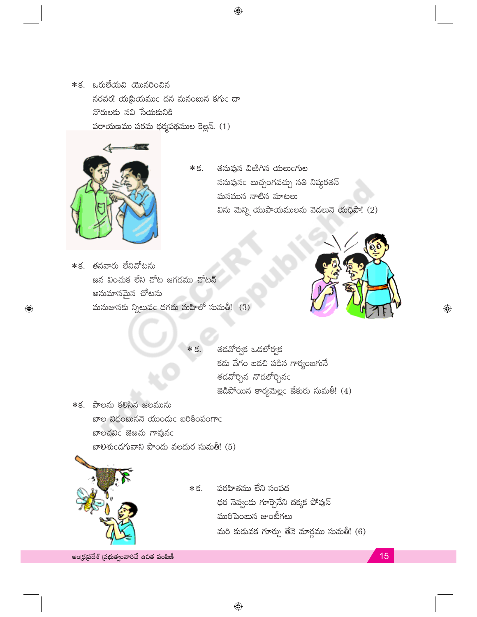\*క. ఒరులేయవి యొనరించిన  $\delta$ రవర! యడ్రియముం దన మనంబున కగుం దా నొరులకు నవి సేయకునికి  $\omega$ రాయణము పరమ ధర్మపథముల కెల్లన్. (1)



 $\bigoplus$ 

- తనువున విఱిగిన యలుంగుల  $*$   $\leq$ ననువునం బుచ్చంగవచ్చు నతి నిష్ఠరతన్ మనమున నాటిన మాటలు విను మెన్ని యుపాయములను వెడలునె యధిపా! (2)
- $*$ క. తనవారు లేనిచోటను జన వించుక లేని చోట జగడము చోటన్ అనుమానమైన చోటను మనుజునకు న్నిలువం దగదు మహిలో సుమతీ!  $(3)$

\* ś.



 $\textcolor{black}{\textcolor{black}{\bigoplus}}$ 

తడవోర్వక ఒడలోర్వక కడు వేగం బడచి పడిన గార్యంబగునే తడవోర్చిన నొడలోర్చినం  $\mathbb B$ డిపోయిన కార్యమెల్లం జేకురు సుమతీ!  $(4)$ 

\*క. పాలను కలిసిన జలమును బాల విధంబుననె యుందుఁ బరికింపంగాఁ బాలచవిం జెఱచు గావునం బాలిశుండగువాని పొందు వలదుర సుమతీ! (5)



\* š. పరహితము లేని సంపద ధర నెవ్వండు గూర్చెనేని దక్కక పోవున్ మురిపెంబున జుంటీగలు మరి కుదువక గూర్చు తేనె మార్గము సుమతీ! (6)

ఆంధ్రప్రదేశ్ (పభుత్వంవారిచే ఉచిత పంపిణీ

15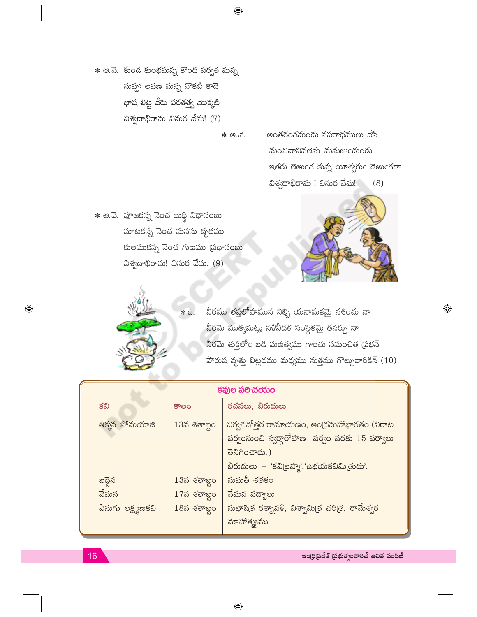\* ఆ.వె. కుండ కుంభమన్న కొండ పర్వత మన్న నుప్పు లవణ మన్న నొకటి కాదె భాష లిట్టె వేరు పరతత్త్వ మొక్కటి విశ్వదాభిరామ వినుర వేమ! (7)

 $*$   $e.\overline{d}.$ 

అంతరంగమందు నపరాధములు చేసి మంచివానివలెను మనుజుండుండు ఇతరు లెఱుంగ కున్న యీశ్వరుం డెఱుంగడా విశ్వదాభిరామ ! వినుర వేమ! (8)

 $*$  ఆ.వె. పూజకన్న నెంచ బుద్ధి నిధానంబు మాటకన్న నెంచ మనసు దృఢము కులముకన్న నెంచ గుణము (పధానంబు విశ్వదాభిరామ! వినుర వేమ.  $(9)$ 



 $\bigoplus$ 



నీరము తప్తలోహమున నిల్చి యనామకమై నశించు నా నీరమె ముత్యమట్లు నళినీదళ సంస్థితమై తనర్చు నా నీరమె శుక్తిలోఁ బడి మణిత్వము గాంచు సమంచిత (పభన్ బౌరుష వృత్తు లిట్లధము మధ్యము సుత్తము గొల్చువారికిన్ (10)

| కవుల పలిచయం                        |                                                    |                                                                                                                                       |  |  |  |
|------------------------------------|----------------------------------------------------|---------------------------------------------------------------------------------------------------------------------------------------|--|--|--|
| కవి                                | కాలం                                               | రచనలు, బిరుదులు                                                                                                                       |  |  |  |
| తిక్కన సోమయాజి                     | $13$ వ శతాబ్దం                                     | ్ నిర్వచనోత్తర రామాయణం, ఆంధ్రమహాభారతం (వి <b>రా</b> ట<br>పర్వంనుంచి స్వర్గారోహణ పర్వం వరకు 15 పర్వాలు<br>తెనిగించాడు.)                |  |  |  |
| బద్దెన<br>వేమన<br>ఏనుగు లక్ష్మణకవి | $13$ వ శతాబ్దం<br>$17$ వ శతాబ్దం<br>$1853$ శతాబ్దం | బిరుదులు – 'కవి బహ్మ','ఉభయకవిమి తుడు'.<br>సుమతీ శతకం<br>వేమన పద్యాలు<br>సుభాషిత రత్నావళి, విశ్వామిత్ర చరిత్ర, రామేశ్వర<br>మాహాత్మ్యము |  |  |  |

ఆంధ్రప్రదేశ్ (పభుత్వంవారిచే ఉచిత పంపిణీ

 $16$ 

 $\bigoplus$ 

 $\bigcirc$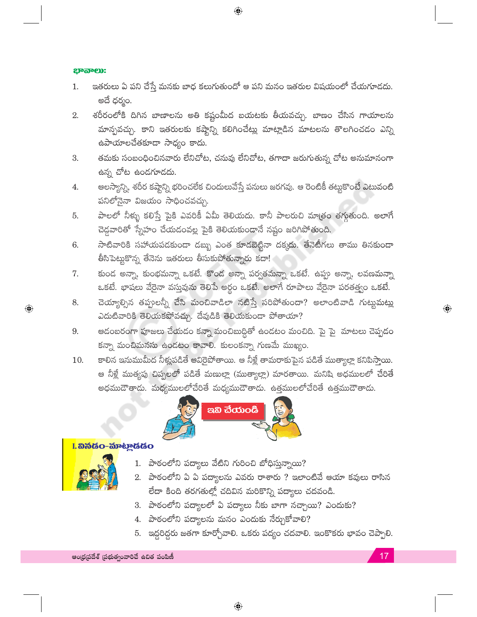#### ಭಾನಾಲು:

ఇతరులు ఏ పని చేస్తే మనకు బాధ కలుగుతుందో ఆ పని మనం ఇతరుల విషయంలో చేయగూడదు. 1. అదే ధర్మం.

 $\bigoplus$ 

- శరీరంలోకి దిగిన బాణాలను అతి కష్టంమీద బయటకు తీయవచ్చు. బాణం చేసిన గాయాలను 2. మాన్పవచ్చు. కాని ఇతరులకు కష్టాన్ని కలిగించేట్లు మాట్లాడిన మాటలను తొలగించడం ఎన్ని ఉపాయాలచేతకూడా సాధ్యం కాదు.
- తమకు సంబంధించినవారు లేనిచోట, చనువు లేనిచోట, తగాదా జరుగుతున్న చోట అనుమానంగా 3. ఉన్న చోట ఉండగూడదు.
- ఆలస్యాన్ని, శరీర కష్టాన్ని భరించలేక చిందులువేస్తే పనులు జరగవు. ఆ రెంటికీ తట్లుకొంటే ఎటువంటి 4. పనిలోనైనా విజయం సాధించవచ్చు.
- పాలలో నీళ్ళు కలిస్తే పైకి ఎవరికీ ఏమీ తెలియదు. కానీ పాలరుచి మాత్రం తగ్గుతుంది. అలాగే 5. చెడ్డవారితో స్నేహం చేయడంవల్ల పైకి తెలియకుండానే నష్టం జరిగిపోతుంది.
- సాటివారికి సహాయపదకుండా డబ్బు ఎంత కూడబెట్టినా దక్కదు. తేనెటీగలు తాము తినకుండా 6. తీసిపెట్టుకొన్న తేనెను ఇతరులు తీసుకుపోతున్నారు కదా!
- కుండ అన్నా, కుంభమన్నా ఒకటే. కొండ అన్నా పర్వతమన్నా ఒకటే. ఉప్పు అన్నా, లవణమన్నా 7. ఒకటే. భాషలు వేరైనా వస్తువును తెలిపే అర్థం ఒకటే. అలాగే రూపాలు వేరైనా పరతత్త్వం ఒకటే.
- చెయ్యాల్సిన తప్పులన్నీ చేసి మంచివాడిలా నటిస్తే సరిపోతుందా? అలాంటివాడి గుట్టుమట్లు 8. ఎదుటివారికి తెలియకపోవచ్చు. దేవుడికి తెలియకుండా పోతాయా?
- ఆదంబరంగా పూజలు చేయడం కన్నా మంచిబుద్దితో ఉండటం మంచిది. పై పై మాటలు చెప్పడం 9. కన్నా మంచిమనసు ఉండటం కావాలి. కులంకన్నా గుణమే ముఖ్యం.
- కాలిన ఇనుముమీద నీళ్లుపడితే ఆవిరైపోతాయి. ఆ నీళ్లే తామరాకుపైన పడితే ముత్యాల్లా కనిపిస్తాయి. 10. ఆ నీళ్లే ముత్యపు చిప్పలలో పడితే మణుల్లా (ముత్యాల్లా) మారతాయి. మనిషి అధములలో చేరితే అధముదౌతాడు. మధ్యములలోచేరితే మధ్యముదౌతాడు. ఉత్తములలోచేరితే ఉత్తముదౌతాడు.



## I. <mark>ລຶ ລັບ ອີວິດ - ລົງ</mark>ຈະ <u>ກ</u>ໍຕິເອັດ

 $\bigoplus$ 

- 1. పాఠంలోని పద్యాలు వేటిని గురించి బోధిస్తున్నాయి?
- 2. పాఠంలోని ఏ ఏ పద్యాలను ఎవరు రాశారు ? ఇలాంటివే ఆయా కవులు రాసిన లేదా కింది తరగతుల్లో చదివిన మరికొన్ని పద్యాలు చదవండి.
- 3. పాఠంలోని పద్యాలలో ఏ పద్యాలు నీకు బాగా నచ్చాయి? ఎందుకు?
- 4. పాఠంలోని పద్యాలను మనం ఎందుకు నేర్చుకోవాలి?
- 5. ఇద్దరిద్దరు జతగా కూర్చోవాలి. ఒకరు పద్యం చదవాలి. ఇంకొకరు భావం చెప్పాలి.

 $\bigoplus$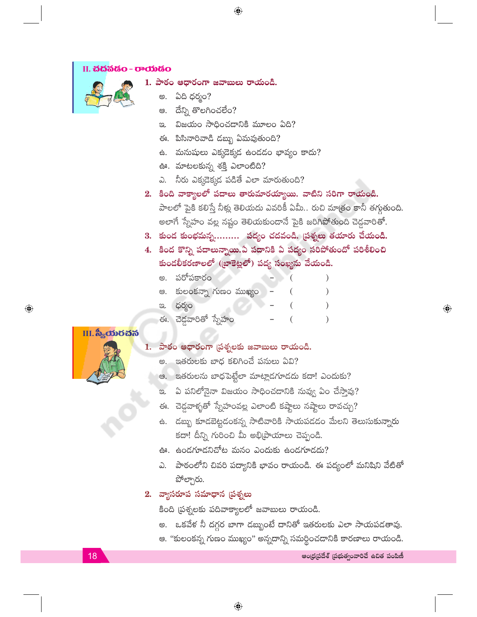



- 1. పాఠం ఆధారంగా జవాబులు రాయండి.
	- అ. ఏది ధర్మం?
	- దేన్ని తొలగించలేం? ఆ.
	- విజయం సాధించడానికి మూలం ఏది? පූ.
	- ఈ. పిసినారివాడి డబ్బు ఏమవుతుంది?
	- ఉ. మనుషులు ఎక్కడెక్కడ ఉండడం భావ్యం కాదు?
	- ఊ. మాటలకున్న శక్తి ఎలాంటిది?
	- ఎ. నీరు ఎక్కడెక్కడ పడితే ఎలా మారుతుంది?
- 2. కింది వాక్యాలలో పదాలు తారుమారయ్యాయి. వాటిని సరిగా రాయండి. పాలలో పైకి కలిస్తే నీళ్లు తెలియదు ఎవరికీ ఏమీ.. రుచి మాత్రం కానీ తగ్గుతుంది. అలాగే స్నేహం వల్ల నష్టం తెలియకుండానే పైకి జరిగిపోతుంది చెడ్డవారితో.
- 3. కుండ కుంభమన్న......... పద్యం చదవండి. [పశ్నలు తయారు చేయండి.
- 4. కింద కొన్ని పదాలున్నాయి.ఏ పదానికి ఏ పద్యం సరిపోతుందో పరిశీలించి కుండలీకరణాలలో (బాకెట్లలో) పద్య సంఖ్యను వేయండి.
	- అ. పరోపకారం ఆ. కులంకన్నా గుణం ముఖ్యం ఇ. ధర్మం
	- ఈ. చెడ్డవారితో స్నేహం

#### $\overline{\textbf{H}}$ . స్యీయరచన

 $\bigoplus$ 

## 1. పాఠం ఆధారంగా (పశ్నలకు జవాబులు రాయండి.

- ఇతరులకు బాధ కలిగించే పనులు ఏవి?
- ఆ. ఇతరులను బాధపెట్టేలా మాట్లాడగూడదు కదా! ఎందుకు?
- ఇ. ఏ పనిలోనైనా విజయం సాధించడానికి నువ్వు ఏం చేస్తావు?
- ఈ. చెద్దవాళ్ళతో స్నేహంవల్ల ఎలాంటి కష్టాలు నష్టాలు రావచ్చు?
- ఉ. డబ్బు కూడబెట్టడంకన్న సాటివారికి సాయపడడం మేలని తెలుసుకున్నారు కదా! దీన్ని గురించి మీ అభిప్రాయాలు చెప్పండి.
- ఊ. ఉండగూడనిచోట మనం ఎందుకు ఉండగూడదు?
- ఎ. పాఠంలోని చివరి పద్యానికి భావం రాయండి. ఈ పద్యంలో మనిషిని వేటితో పోల్చారు.

### 2. వ్యాసరూప సమాధాన (పశ్నలు

కింది (పశ్నలకు పదివాక్యాలలో జవాబులు రాయండి.

- అ. ఒకవేళ నీ దగ్గర బాగా దబ్బుంటే దానితో ఇతరులకు ఎలా సాయపడతావు.
- ఆ. "కులంకన్న గుణం ముఖ్యం" అన్నదాన్ని సమర్థించడానికి కారణాలు రాయండి.

 $\textcolor{black}{\textcolor{black}{\bigoplus}}$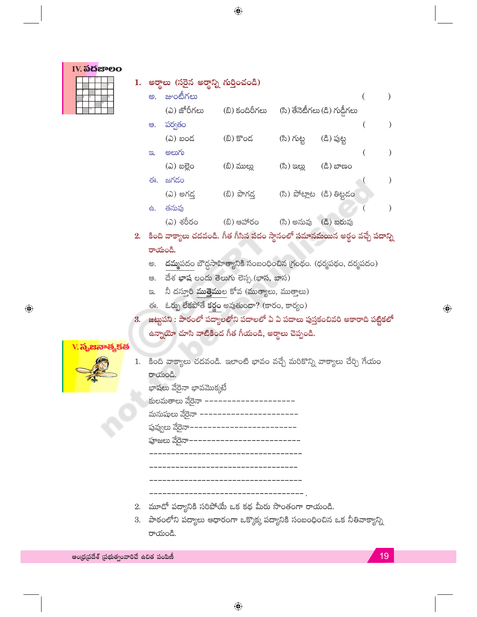|  | IV. <b>ಎದ</b> ಜಾಲಂ |  |  |
|--|--------------------|--|--|
|  |                    |  |  |
|  |                    |  |  |
|  |                    |  |  |
|  |                    |  |  |
|  |                    |  |  |
|  | $\overline{13}$    |  |  |

| 1. |    | అర్థాలు (సరైన అర్థాన్ని గుర్తించండి) |                |              |                               |  |
|----|----|--------------------------------------|----------------|--------------|-------------------------------|--|
|    | ඏ. | జుంటీగలు                             |                |              |                               |  |
|    |    | (ఎ) జోరీగలు                          | (బి) కందిరీగలు |              | (సి) తేనెటీగలు (డి) గుడ్డీగలు |  |
|    | ఆ. | పర్వతం                               |                |              |                               |  |
|    |    | (ఎ) బంద                              | (బి) కొంద      | (సి) గుట్ట   | (ది) పుట్ట                    |  |
|    | ප. | అలుగు                                |                |              |                               |  |
|    |    | (ධ) బల్లెం                           | (బి) ముల్లు    | (ಸಿ) ಇಲ್ಲು   | (ಪಿ) ಬಾಣಂ                     |  |
|    | ఈ. | జగడం                                 |                |              |                               |  |
|    |    | (ఎ) అగడ్                             | (బి) పొగడ      | (సి) పోట్లాట | (డి) తిట్టదం                  |  |
|    | 。  | తనువు                                |                |              |                               |  |
|    |    | (ఎ) శరీరం                            | (బి) ఆహారం     | (సి) అనువు   | (డి) బరువు                    |  |

- 2. కింది వాక్యాలు చదవండి. గీత గీసిన పదం స్థానంలో సమానమయిన అర్థం వచ్చే పదాన్ని రాయండి.
	- అ. <mark>దమ్మ</mark>పదం బౌద్ధసాహిత్యానికి సంబంధించిన గ్రంథం. (ధర్మపథం, దర్మపదం)
	- ఆ. దేశ ఖాష లందు తెలుగు లెస్ప. (భాస, బాస)
	- ఇ. నీ దస్తూరి ముత్తైముల కోవ (ముత్యాలు, ముత్తాలు)
	- ఈ. ఓర్పు లేకపోతే కర్ణం అవుతుందా? (కారం, కార్యం)
- 3. జట్టపని : పాఠంలో పద్యాలలోని పదాలలో ఏ ఏ పదాలు పుస్తకంచివరి అకారాది పట్టికలో ఉన్నాయో చూసి వాటికింద గీత గీయండి, అర్థాలు చెప్పండి.

#### $V$ . ನೃಜನಾಹ್ಯ ಕಪ

 $\bigoplus$ 

|         | 1.   కింది వాక్యాలు చదవండి. ఇలాంటి భావం వచ్చే మరికొన్ని వాక్యాలు చేర్చి గేయం |  |  |  |  |
|---------|------------------------------------------------------------------------------|--|--|--|--|
| రాయండి. |                                                                              |  |  |  |  |

| భాషలు వేరైనా భావమొక్కటే             |
|-------------------------------------|
| కులమతాలు వేరైనా ––––                |
| మనుషులు వేరైనా  –––––––––––––––––   |
| పువ్వులు వేరైనా-------------------- |
| పూజలు వేరైనా––––––––––––––––––      |
|                                     |
|                                     |
|                                     |
|                                     |

- 2. మూడో పద్యానికి సరిపోయే ఒక కథ మీరు సొంతంగా రాయండి.
- 3. పాఠంలోని పద్యాలు ఆధారంగా ఒక్కొక్క పద్యానికి సంబంధించిన ఒక నీతివాక్యాన్ని రాయండి.

ఆంధ్రప్రదేశ్ (పభుత్వంవారిచే ఉచిత పంపిణీ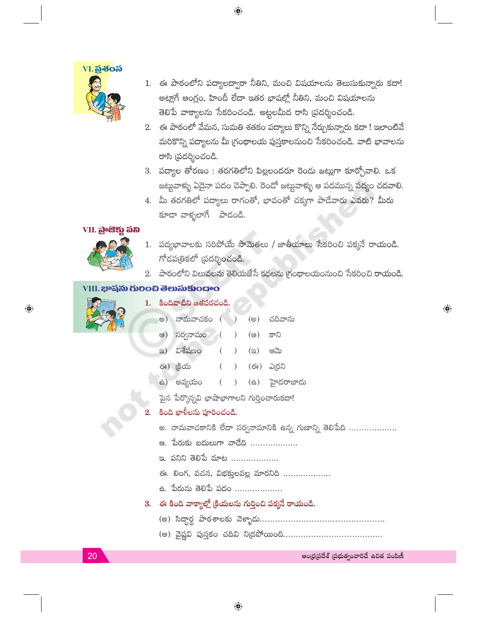

1. ఈ పాఠంలోని పద్యాలద్వారా నీతిని, మంచి విషయాలను తెలుసుకున్నారు కదా! అట్లాగే ఆంగ్లం, హిందీ లేదా ఇతర భాషల్లో నీతిని, మంచి విషయాలను తెలిపే వాక్యాలను సేకరించండి. అట్టలమీద రాసి (పదర్శించండి.

 $\bigoplus$ 

- 2. ఈ పాఠంలో వేమన, సుమతి శతకం పద్యాలు కొన్ని నేర్చుకున్నారు కదా ! ఇలాంటివే మరికొన్ని పద్యాలను మీ గ్రంథాలయ పుస్తకాలనుంచి సేకరించండి. వాటి భావాలను రాసి (పదర్శించండి.
- 3. పద్యాల తోరణం : తరగతిలోని పిల్లలందరూ రెండు జట్లుగా కూర్చోవాలి. ఒక జట్టవాళ్ళు ఏదైనా పదం చెప్పాలి. రెండో జట్టవాళ్ళు ఆ పదమున్న పద్యం చదవాలి.
- 4. మీ తరగతిలో పద్యాలు రాగంతో, భావంతో చక్కగా పాడేవారు ఎవరు? మీరు కూడా వాళ్ళలాగే పాడండి.

#### VII. බුංසිඡු බිහි



- 1. పద్యభావాలకు సరిపోయే సామెతలు / జాతీయాలు సేకరించి పక్కనే రాయండి. గోదపత్రికలో (పదర్శించండి.
- 2. పాఠంలోని విలువలను తెలియజేసే కథలను గ్రంథాలయంనుంచి సేకరించి రాయండి.

## VIII. ಭಾషను గులించి తెలుసుకుందాం



 $\textcolor{black}{\textcolor{black}{\bigcirc}}$ 

- 1. కిందివాటిని జతపరచండి. అ) నామవాచకం () (అ) చదివాను
	- ఆ) సర్వనామం (  $\left( \right)$ (ෂ) కాని
	- ఇ) విశేషణం  $\mathcal{L}$ ಆಮ  $(\circledA)$  $\left($
	- ఈ) క్రియ (ఈ) ఎ(రని  $\mathcal{L}$  $\left($
	- ఉ) అవ్యయం హైదరాబాదు  $\left($  $\mathcal{L}$  $(\oplus)$
	- పైన పేర్కొన్నవి భాషాభాగాలని గుర్తించారుకదా!

## కింది ఖాళీలను పూరించండి.

- అ. నామవాచకానికి లేదా సర్వనామానికి ఉన్న గుణాన్ని తెలిపేది ...................
- ఆ. పేరుకు బదులుగా వాదేది ...................
- ఇ. పనిని తెలిపే మాట ...................
- ఈ. లింగ, వచన, విభక్తులవల్ల మారనిది ...................
- ఉ. పేరును తెలిపే పదం ...................
- 3. ఈ కింది వాక్యాల్లో క్రియలను గుర్తించి పక్కనే రాయండి.
	-
	-

ఆంధ్రప్రదేశ్ (పభుత్వంవారిచే ఉచిత పంపిణీ

 $\bigoplus$ 

20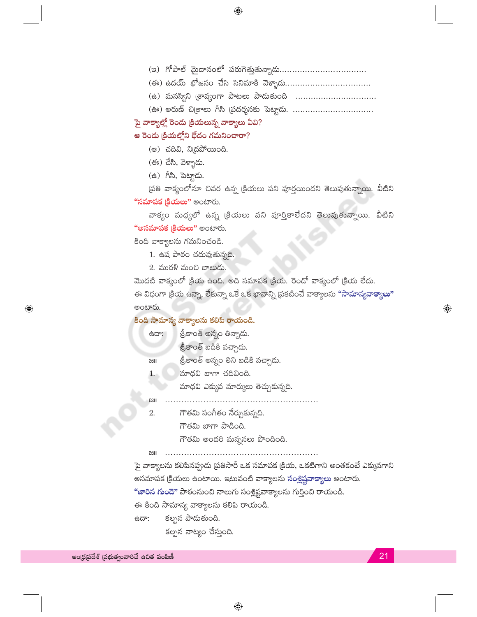- 
- 
- (ఉ) మనస్విని [శావ్యంగా పాటలు పాదుతుంది .................................
- (ఊ) అరుణ్ చిత్రాలు గీసి (పదర్శనకు పెట్టాడు. .................................
- పై వాక్యాల్లో రెండు (కియలున్న వాక్యాలు ఏవి?

#### ఆ రెండు క్రియల్లోని భేదం గమనించారా?

- (ෂ) చదివి, ని(దపోయింది.
- (ఈ) చేసి, వెళ్ళాడు.
- (ఉ) గీసి, పెట్టాడు.

'ప్రతి వాక్యంలోనూ చివర ఉన్న (కియలు పని పూర్తయిందని తెలుపుతున్నాయి. వీటిని **"సమాపక క్రియలు"** అంటారు.

వాక్యం మధ్యలో ఉన్న (కియలు పని పూర్తికాలేదని తెలుపుతున్నాయి. వీటిని **"అసమాపక క్రియలు"** అంటారు.

కింది వాక్యాలను గమనించండి.

- 1. ఉష పాఠం చదువుతున్నది.
- 2. మురళి మంచి బాలుడు.

మొదటి వాక్యంలో (కియ ఉంది. అది సమాపక (కియ. రెండో వాక్యంలో (కియ లేదు. ఈ విధంగా (కియ ఉన్నా, లేకున్నా ఒకే ఒక భావాన్ని ప్రకటించే వాక్యాలను <mark>"సామాన్యవాక్యాలు"</mark> అంటారు.

#### కింది సామాన్య వాక్యాలను కలిపి రాయండి.

- శ్రీకాంత్ అన్నం తిన్నాడు. ಿದಾ శ్రీకాంత్ బడికి వచ్చాడు.
- శ్రీకాంత్ అన్నం తిని బడికి వచ్చాడు.  $\approx$
- మాధవి బాగా చదివింది. 1. .
	- మాధవి ఎక్కువ మార్కులు తెచ్చుకున్నది.

#### ષ્ટા

గౌతమి సంగీతం నేర్చుకున్నది.  $2.$ 

గౌతమి బాగా పాడింది.

గౌతమి అందరి మన్ననలు పొందింది.

 $\approx$ 

పై వాక్యాలను కలిపినప్పుడు (పతిసారీ ఒక సమాపక (కియ, ఒకటిగాని అంతకంటే ఎక్కువగాని అసమాపక క్రియలు ఉంటాయి. ఇటువంటి వాక్యాలను **సంశ్లిష్టవాక్యాలు** అంటారు.

<mark>"జారిన గుండె"</mark> పాఠంనుంచి నాలుగు సంశ్లిష్టవాక్యాలను గుర్తించి రాయండి.

ఈ కింది సామాన్య వాక్యాలను కలిపి రాయండి.

కల్పన పాడుతుంది. ಿದಾ కల్పన నాట్యం చేస్తుంది.

 $\bigoplus$